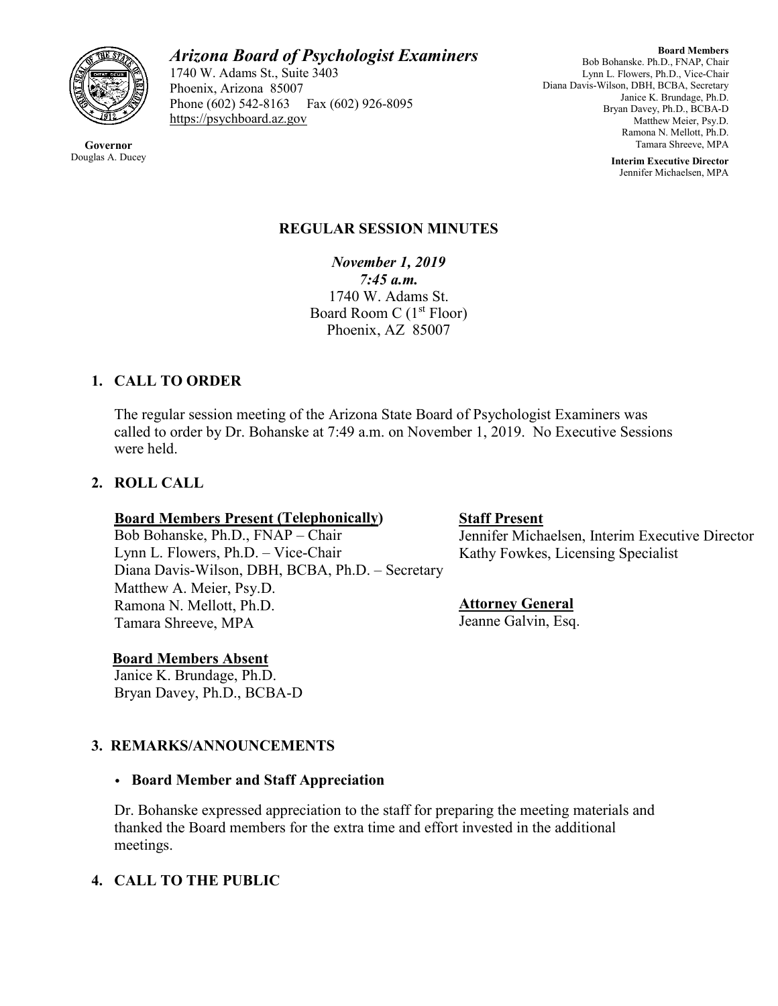

**Governor** Douglas A. Ducey

# *Arizona Board of Psychologist Examiners*

1740 W. Adams St., Suite 3403 Phoenix, Arizona 85007 Phone (602) 542-8163 Fax (602) 926-8095 [https://psychboard.az.gov](https://psychboard.az.gov/) 

**Board Members** Bob Bohanske. Ph.D., FNAP, Chair Lynn L. Flowers, Ph.D., Vice-Chair Diana Davis-Wilson, DBH, BCBA, Secretary Janice K. Brundage, Ph.D. Bryan Davey, Ph.D., BCBA-D Matthew Meier, Psy.D. Ramona N. Mellott, Ph.D. Tamara Shreeve, MPA

> **Interim Executive Director** Jennifer Michaelsen, MPA

## **REGULAR SESSION MINUTES**

*November 1, 2019 7:45 a.m.* 1740 W. Adams St. Board Room C  $(1<sup>st</sup> Floor)$ Phoenix, AZ 85007

# **1. CALL TO ORDER**

The regular session meeting of the Arizona State Board of Psychologist Examiners was called to order by Dr. Bohanske at 7:49 a.m. on November 1, 2019. No Executive Sessions were held.

# **2. ROLL CALL**

#### **Board Members Present (Telephonically)**

Bob Bohanske, Ph.D., FNAP – Chair Lynn L. Flowers, Ph.D. – Vice-Chair Diana Davis-Wilson, DBH, BCBA, Ph.D. – Secretary Matthew A. Meier, Psy.D. Ramona N. Mellott, Ph.D. Tamara Shreeve, MPA

#### **Board Members Absent**

 Janice K. Brundage, Ph.D. Bryan Davey, Ph.D., BCBA-D

# **3. REMARKS/ANNOUNCEMENTS**

### • **Board Member and Staff Appreciation**

Dr. Bohanske expressed appreciation to the staff for preparing the meeting materials and thanked the Board members for the extra time and effort invested in the additional meetings.

### **4. CALL TO THE PUBLIC**

#### **Staff Present**

Jennifer Michaelsen, Interim Executive Director Kathy Fowkes, Licensing Specialist

### **Attorney General**

Jeanne Galvin, Esq.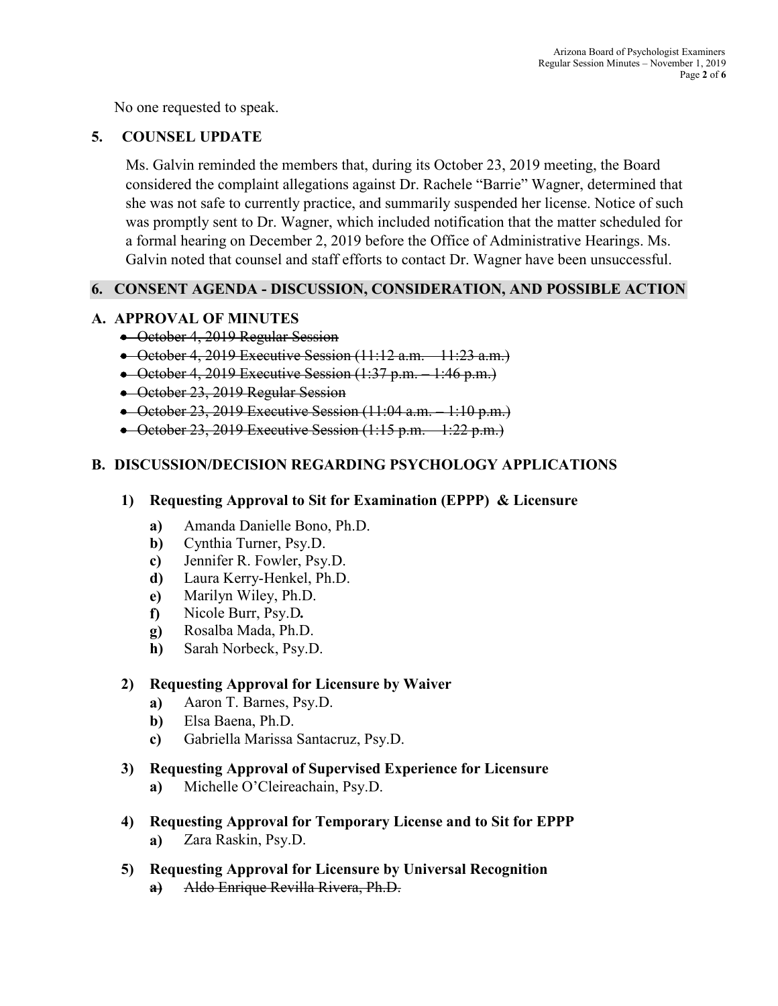No one requested to speak.

### **5. COUNSEL UPDATE**

Ms. Galvin reminded the members that, during its October 23, 2019 meeting, the Board considered the complaint allegations against Dr. Rachele "Barrie" Wagner, determined that she was not safe to currently practice, and summarily suspended her license. Notice of such was promptly sent to Dr. Wagner, which included notification that the matter scheduled for a formal hearing on December 2, 2019 before the Office of Administrative Hearings. Ms. Galvin noted that counsel and staff efforts to contact Dr. Wagner have been unsuccessful.

### **6. CONSENT AGENDA - DISCUSSION, CONSIDERATION, AND POSSIBLE ACTION**

#### **A. APPROVAL OF MINUTES**

- October 4, 2019 Regular Session
- October 4, 2019 Executive Session (11:12 a.m. 11:23 a.m.)
- October 4, 2019 Executive Session (1:37 p.m. 1:46 p.m.)
- October 23, 2019 Regular Session
- October 23, 2019 Executive Session (11:04 a.m. 1:10 p.m.)
- October 23, 2019 Executive Session  $(1:15 \text{ p.m.} 1:22 \text{ p.m.})$

### **B. DISCUSSION/DECISION REGARDING PSYCHOLOGY APPLICATIONS**

- **1) Requesting Approval to Sit for Examination (EPPP) & Licensure**
	- **a)** Amanda Danielle Bono, Ph.D.
	- **b)** Cynthia Turner, Psy.D.
	- **c)** Jennifer R. Fowler, Psy.D.
	- **d)** Laura Kerry-Henkel, Ph.D.
	- **e)** Marilyn Wiley, Ph.D.
	- **f)** Nicole Burr, Psy.D*.*
	- **g)** Rosalba Mada, Ph.D.
	- **h)** Sarah Norbeck, Psy.D.

### **2) Requesting Approval for Licensure by Waiver**

- **a)** Aaron T. Barnes, Psy.D.
- **b)** Elsa Baena, Ph.D.
- **c)** Gabriella Marissa Santacruz, Psy.D.
- **3) Requesting Approval of Supervised Experience for Licensure a)** Michelle O'Cleireachain, Psy.D.
- **4) Requesting Approval for Temporary License and to Sit for EPPP a)** Zara Raskin, Psy.D.
- **5) Requesting Approval for Licensure by Universal Recognition a)** Aldo Enrique Revilla Rivera, Ph.D.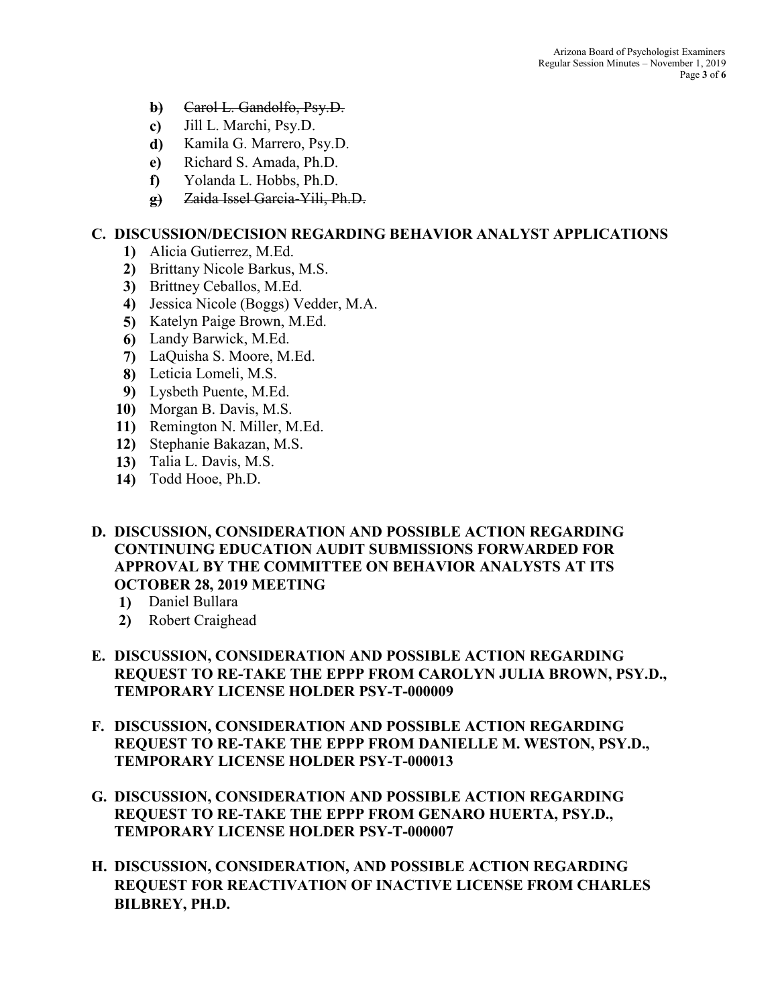- **b)** Carol L. Gandolfo, Psy.D.
- **c)** Jill L. Marchi, Psy.D.
- **d)** Kamila G. Marrero, Psy.D.
- **e)** Richard S. Amada, Ph.D.
- **f)** Yolanda L. Hobbs, Ph.D.
- **g)** Zaida Issel Garcia-Yili, Ph.D.

#### **C. DISCUSSION/DECISION REGARDING BEHAVIOR ANALYST APPLICATIONS**

- **1)** Alicia Gutierrez, M.Ed.
- **2)** Brittany Nicole Barkus, M.S.
- **3)** Brittney Ceballos, M.Ed.
- **4)** Jessica Nicole (Boggs) Vedder, M.A.
- **5)** Katelyn Paige Brown, M.Ed.
- **6)** Landy Barwick, M.Ed.
- **7)** LaQuisha S. Moore, M.Ed.
- **8)** Leticia Lomeli, M.S.
- **9)** Lysbeth Puente, M.Ed.
- **10)** Morgan B. Davis, M.S.
- **11)** Remington N. Miller, M.Ed.
- **12)** Stephanie Bakazan, M.S.
- **13)** Talia L. Davis, M.S.
- **14)** Todd Hooe, Ph.D.
- **D. DISCUSSION, CONSIDERATION AND POSSIBLE ACTION REGARDING CONTINUING EDUCATION AUDIT SUBMISSIONS FORWARDED FOR APPROVAL BY THE COMMITTEE ON BEHAVIOR ANALYSTS AT ITS OCTOBER 28, 2019 MEETING**
	- **1)** Daniel Bullara
	- **2)** Robert Craighead
- **E. DISCUSSION, CONSIDERATION AND POSSIBLE ACTION REGARDING REQUEST TO RE-TAKE THE EPPP FROM CAROLYN JULIA BROWN, PSY.D., TEMPORARY LICENSE HOLDER PSY-T-000009**
- **F. DISCUSSION, CONSIDERATION AND POSSIBLE ACTION REGARDING REQUEST TO RE-TAKE THE EPPP FROM DANIELLE M. WESTON, PSY.D., TEMPORARY LICENSE HOLDER PSY-T-000013**
- **G. DISCUSSION, CONSIDERATION AND POSSIBLE ACTION REGARDING REQUEST TO RE-TAKE THE EPPP FROM GENARO HUERTA, PSY.D., TEMPORARY LICENSE HOLDER PSY-T-000007**
- **H. DISCUSSION, CONSIDERATION, AND POSSIBLE ACTION REGARDING REQUEST FOR REACTIVATION OF INACTIVE LICENSE FROM CHARLES BILBREY, PH.D.**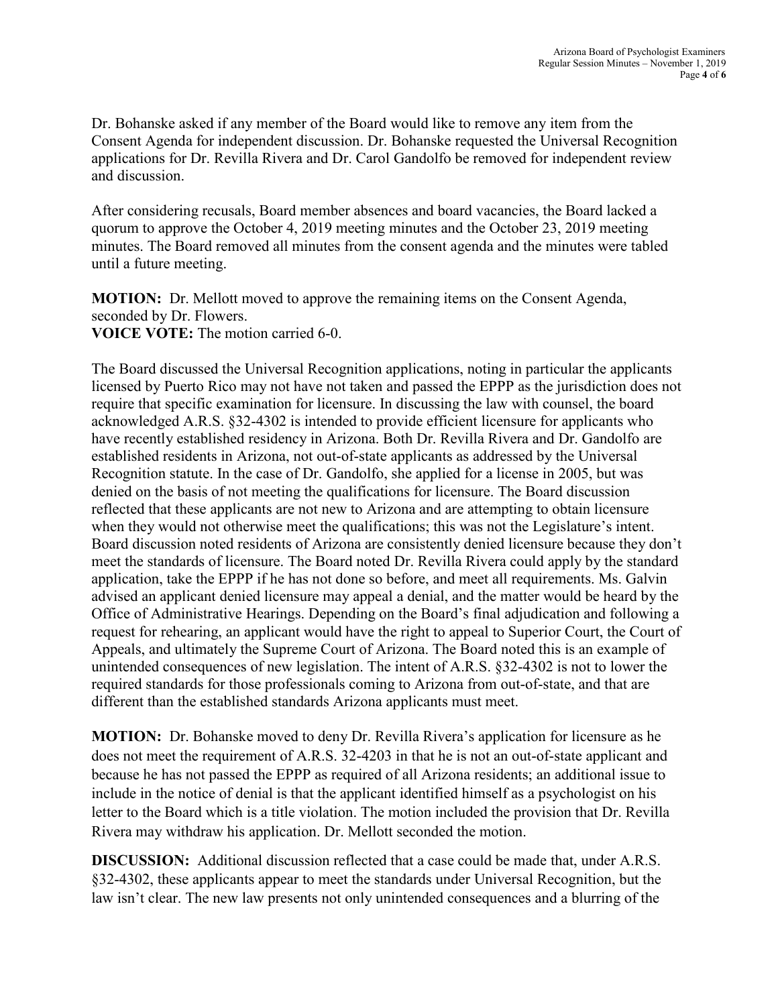Dr. Bohanske asked if any member of the Board would like to remove any item from the Consent Agenda for independent discussion. Dr. Bohanske requested the Universal Recognition applications for Dr. Revilla Rivera and Dr. Carol Gandolfo be removed for independent review and discussion.

After considering recusals, Board member absences and board vacancies, the Board lacked a quorum to approve the October 4, 2019 meeting minutes and the October 23, 2019 meeting minutes. The Board removed all minutes from the consent agenda and the minutes were tabled until a future meeting.

**MOTION:** Dr. Mellott moved to approve the remaining items on the Consent Agenda, seconded by Dr. Flowers. **VOICE VOTE:** The motion carried 6-0.

The Board discussed the Universal Recognition applications, noting in particular the applicants licensed by Puerto Rico may not have not taken and passed the EPPP as the jurisdiction does not require that specific examination for licensure. In discussing the law with counsel, the board acknowledged A.R.S. §32-4302 is intended to provide efficient licensure for applicants who have recently established residency in Arizona. Both Dr. Revilla Rivera and Dr. Gandolfo are established residents in Arizona, not out-of-state applicants as addressed by the Universal Recognition statute. In the case of Dr. Gandolfo, she applied for a license in 2005, but was denied on the basis of not meeting the qualifications for licensure. The Board discussion reflected that these applicants are not new to Arizona and are attempting to obtain licensure when they would not otherwise meet the qualifications; this was not the Legislature's intent. Board discussion noted residents of Arizona are consistently denied licensure because they don't meet the standards of licensure. The Board noted Dr. Revilla Rivera could apply by the standard application, take the EPPP if he has not done so before, and meet all requirements. Ms. Galvin advised an applicant denied licensure may appeal a denial, and the matter would be heard by the Office of Administrative Hearings. Depending on the Board's final adjudication and following a request for rehearing, an applicant would have the right to appeal to Superior Court, the Court of Appeals, and ultimately the Supreme Court of Arizona. The Board noted this is an example of unintended consequences of new legislation. The intent of A.R.S. §32-4302 is not to lower the required standards for those professionals coming to Arizona from out-of-state, and that are different than the established standards Arizona applicants must meet.

**MOTION:** Dr. Bohanske moved to deny Dr. Revilla Rivera's application for licensure as he does not meet the requirement of A.R.S. 32-4203 in that he is not an out-of-state applicant and because he has not passed the EPPP as required of all Arizona residents; an additional issue to include in the notice of denial is that the applicant identified himself as a psychologist on his letter to the Board which is a title violation. The motion included the provision that Dr. Revilla Rivera may withdraw his application. Dr. Mellott seconded the motion.

**DISCUSSION:** Additional discussion reflected that a case could be made that, under A.R.S. §32-4302, these applicants appear to meet the standards under Universal Recognition, but the law isn't clear. The new law presents not only unintended consequences and a blurring of the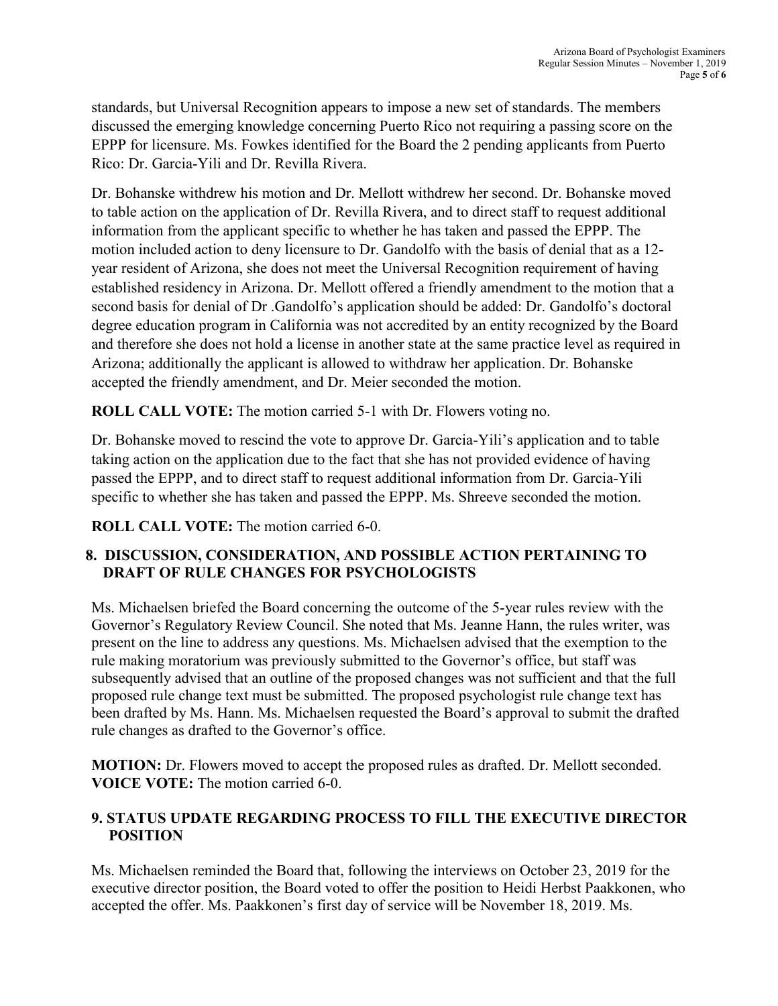standards, but Universal Recognition appears to impose a new set of standards. The members discussed the emerging knowledge concerning Puerto Rico not requiring a passing score on the EPPP for licensure. Ms. Fowkes identified for the Board the 2 pending applicants from Puerto Rico: Dr. Garcia-Yili and Dr. Revilla Rivera.

Dr. Bohanske withdrew his motion and Dr. Mellott withdrew her second. Dr. Bohanske moved to table action on the application of Dr. Revilla Rivera, and to direct staff to request additional information from the applicant specific to whether he has taken and passed the EPPP. The motion included action to deny licensure to Dr. Gandolfo with the basis of denial that as a 12 year resident of Arizona, she does not meet the Universal Recognition requirement of having established residency in Arizona. Dr. Mellott offered a friendly amendment to the motion that a second basis for denial of Dr .Gandolfo's application should be added: Dr. Gandolfo's doctoral degree education program in California was not accredited by an entity recognized by the Board and therefore she does not hold a license in another state at the same practice level as required in Arizona; additionally the applicant is allowed to withdraw her application. Dr. Bohanske accepted the friendly amendment, and Dr. Meier seconded the motion.

**ROLL CALL VOTE:** The motion carried 5-1 with Dr. Flowers voting no.

Dr. Bohanske moved to rescind the vote to approve Dr. Garcia-Yili's application and to table taking action on the application due to the fact that she has not provided evidence of having passed the EPPP, and to direct staff to request additional information from Dr. Garcia-Yili specific to whether she has taken and passed the EPPP. Ms. Shreeve seconded the motion.

**ROLL CALL VOTE:** The motion carried 6-0.

# **8. DISCUSSION, CONSIDERATION, AND POSSIBLE ACTION PERTAINING TO DRAFT OF RULE CHANGES FOR PSYCHOLOGISTS**

Ms. Michaelsen briefed the Board concerning the outcome of the 5-year rules review with the Governor's Regulatory Review Council. She noted that Ms. Jeanne Hann, the rules writer, was present on the line to address any questions. Ms. Michaelsen advised that the exemption to the rule making moratorium was previously submitted to the Governor's office, but staff was subsequently advised that an outline of the proposed changes was not sufficient and that the full proposed rule change text must be submitted. The proposed psychologist rule change text has been drafted by Ms. Hann. Ms. Michaelsen requested the Board's approval to submit the drafted rule changes as drafted to the Governor's office.

**MOTION:** Dr. Flowers moved to accept the proposed rules as drafted. Dr. Mellott seconded. **VOICE VOTE:** The motion carried 6-0.

# **9. STATUS UPDATE REGARDING PROCESS TO FILL THE EXECUTIVE DIRECTOR POSITION**

Ms. Michaelsen reminded the Board that, following the interviews on October 23, 2019 for the executive director position, the Board voted to offer the position to Heidi Herbst Paakkonen, who accepted the offer. Ms. Paakkonen's first day of service will be November 18, 2019. Ms.